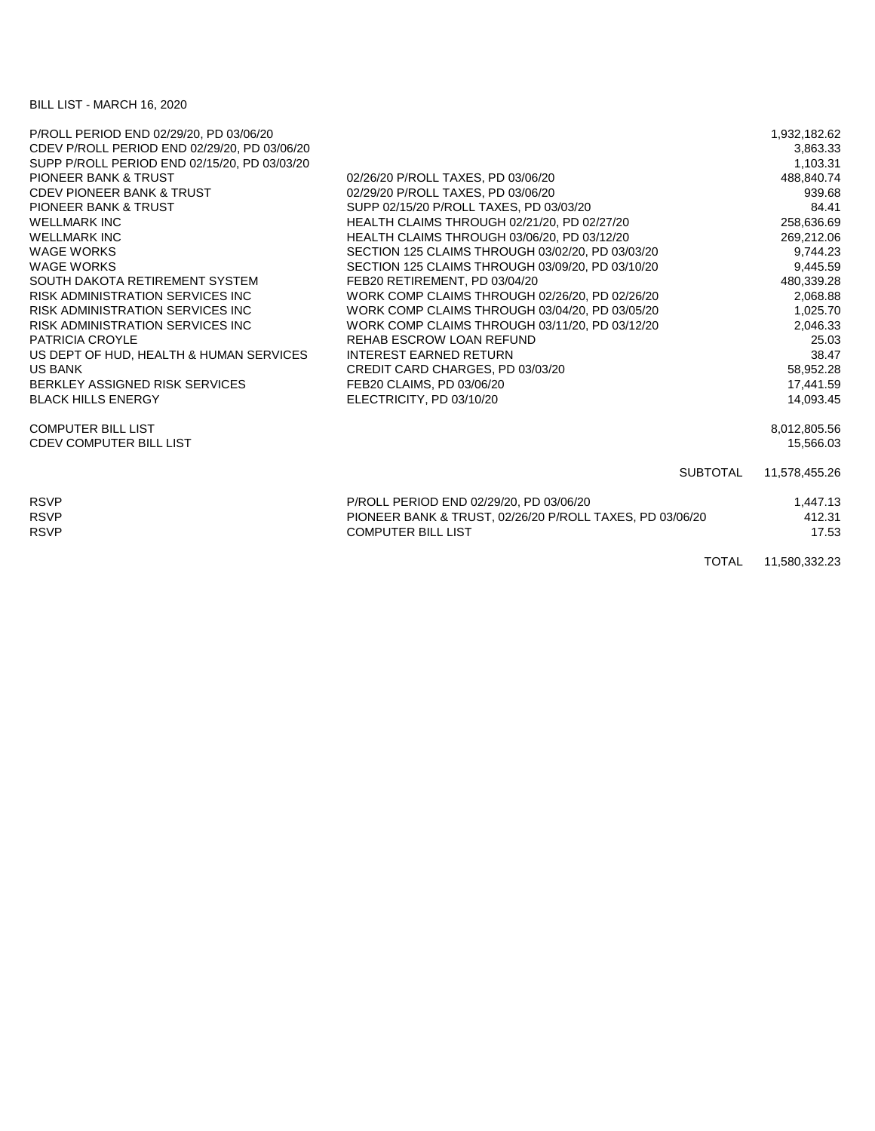## BILL LIST - MARCH 16, 2020

| P/ROLL PERIOD END 02/29/20, PD 03/06/20      |                                                          | 1,932,182.62  |
|----------------------------------------------|----------------------------------------------------------|---------------|
| CDEV P/ROLL PERIOD END 02/29/20, PD 03/06/20 |                                                          | 3,863.33      |
| SUPP P/ROLL PERIOD END 02/15/20, PD 03/03/20 |                                                          | 1.103.31      |
| <b>PIONEER BANK &amp; TRUST</b>              | 02/26/20 P/ROLL TAXES, PD 03/06/20                       | 488,840.74    |
| <b>CDEV PIONEER BANK &amp; TRUST</b>         | 02/29/20 P/ROLL TAXES, PD 03/06/20                       | 939.68        |
| <b>PIONEER BANK &amp; TRUST</b>              | SUPP 02/15/20 P/ROLL TAXES, PD 03/03/20                  | 84.41         |
| <b>WELLMARK INC</b>                          | HEALTH CLAIMS THROUGH 02/21/20, PD 02/27/20              | 258,636.69    |
| <b>WELLMARK INC</b>                          | HEALTH CLAIMS THROUGH 03/06/20, PD 03/12/20              | 269,212.06    |
| <b>WAGE WORKS</b>                            | SECTION 125 CLAIMS THROUGH 03/02/20, PD 03/03/20         | 9,744.23      |
| <b>WAGE WORKS</b>                            | SECTION 125 CLAIMS THROUGH 03/09/20, PD 03/10/20         | 9,445.59      |
| SOUTH DAKOTA RETIREMENT SYSTEM               | FEB20 RETIREMENT, PD 03/04/20                            | 480,339.28    |
| <b>RISK ADMINISTRATION SERVICES INC.</b>     | WORK COMP CLAIMS THROUGH 02/26/20, PD 02/26/20           | 2,068.88      |
| RISK ADMINISTRATION SERVICES INC             | WORK COMP CLAIMS THROUGH 03/04/20, PD 03/05/20           | 1,025.70      |
| <b>RISK ADMINISTRATION SERVICES INC.</b>     | WORK COMP CLAIMS THROUGH 03/11/20, PD 03/12/20           | 2,046.33      |
| <b>PATRICIA CROYLE</b>                       | REHAB ESCROW LOAN REFUND                                 | 25.03         |
| US DEPT OF HUD, HEALTH & HUMAN SERVICES      | <b>INTEREST EARNED RETURN</b>                            | 38.47         |
| <b>US BANK</b>                               | CREDIT CARD CHARGES, PD 03/03/20                         | 58,952.28     |
| BERKLEY ASSIGNED RISK SERVICES               | FEB20 CLAIMS, PD 03/06/20                                | 17,441.59     |
| <b>BLACK HILLS ENERGY</b>                    | ELECTRICITY, PD 03/10/20                                 | 14,093.45     |
| <b>COMPUTER BILL LIST</b>                    |                                                          | 8,012,805.56  |
| <b>CDEV COMPUTER BILL LIST</b>               |                                                          | 15.566.03     |
|                                              | <b>SUBTOTAL</b>                                          | 11,578,455.26 |
| <b>RSVP</b>                                  | P/ROLL PERIOD END 02/29/20, PD 03/06/20                  | 1,447.13      |
| <b>RSVP</b>                                  | PIONEER BANK & TRUST, 02/26/20 P/ROLL TAXES, PD 03/06/20 | 412.31        |
| <b>RSVP</b>                                  | <b>COMPUTER BILL LIST</b>                                | 17.53         |
|                                              | <b>TOTAL</b>                                             | 11,580,332.23 |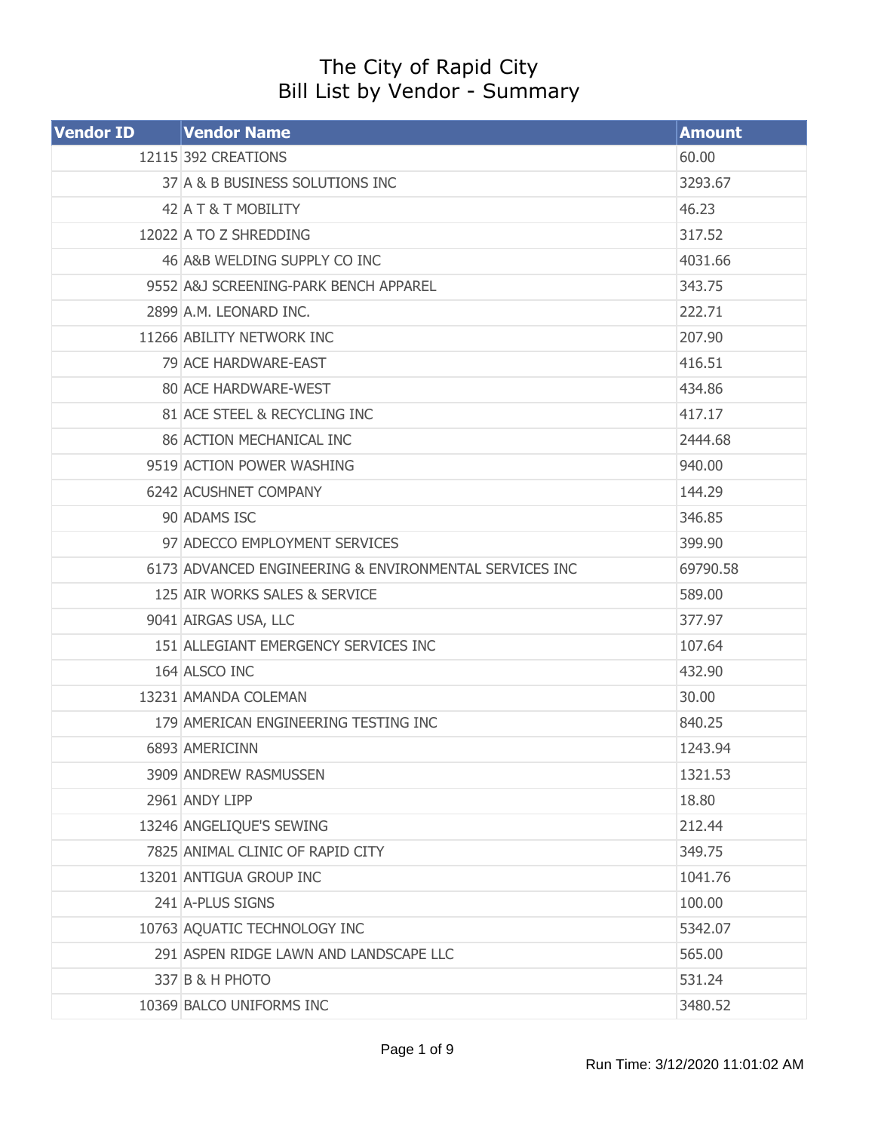## The City of Rapid City Bill List by Vendor - Summary

| <b>Vendor ID</b> | <b>Vendor Name</b>                                     | <b>Amount</b> |
|------------------|--------------------------------------------------------|---------------|
|                  | 12115 392 CREATIONS                                    | 60.00         |
|                  | 37 A & B BUSINESS SOLUTIONS INC                        | 3293.67       |
|                  | 42 A T & T MOBILITY                                    | 46.23         |
|                  | 12022 A TO Z SHREDDING                                 | 317.52        |
|                  | 46 A&B WELDING SUPPLY CO INC                           | 4031.66       |
|                  | 9552 A&J SCREENING-PARK BENCH APPAREL                  | 343.75        |
|                  | 2899 A.M. LEONARD INC.                                 | 222.71        |
|                  | 11266 ABILITY NETWORK INC                              | 207.90        |
|                  | 79 ACE HARDWARE-EAST                                   | 416.51        |
|                  | 80 ACE HARDWARE-WEST                                   | 434.86        |
|                  | 81 ACE STEEL & RECYCLING INC                           | 417.17        |
|                  | 86 ACTION MECHANICAL INC                               | 2444.68       |
|                  | 9519 ACTION POWER WASHING                              | 940,00        |
|                  | 6242 ACUSHNET COMPANY                                  | 144.29        |
|                  | 90 ADAMS ISC                                           | 346.85        |
|                  | 97 ADECCO EMPLOYMENT SERVICES                          | 399.90        |
|                  | 6173 ADVANCED ENGINEERING & ENVIRONMENTAL SERVICES INC | 69790.58      |
|                  | 125 AIR WORKS SALES & SERVICE                          | 589.00        |
|                  | 9041 AIRGAS USA, LLC                                   | 377.97        |
|                  | 151 ALLEGIANT EMERGENCY SERVICES INC                   | 107.64        |
|                  | 164 ALSCO INC                                          | 432.90        |
|                  | 13231 AMANDA COLEMAN                                   | 30.00         |
|                  | 179 AMERICAN ENGINEERING TESTING INC                   | 840.25        |
|                  | 6893 AMERICINN                                         | 1243.94       |
|                  | 3909 ANDREW RASMUSSEN                                  | 1321.53       |
|                  | 2961 ANDY LIPP                                         | 18.80         |
|                  | 13246 ANGELIQUE'S SEWING                               | 212.44        |
|                  | 7825 ANIMAL CLINIC OF RAPID CITY                       | 349.75        |
|                  | 13201 ANTIGUA GROUP INC                                | 1041.76       |
|                  | 241 A-PLUS SIGNS                                       | 100.00        |
|                  | 10763 AQUATIC TECHNOLOGY INC                           | 5342.07       |
|                  | 291 ASPEN RIDGE LAWN AND LANDSCAPE LLC                 | 565.00        |
|                  | 337 B & H PHOTO                                        | 531.24        |
|                  | 10369 BALCO UNIFORMS INC                               | 3480.52       |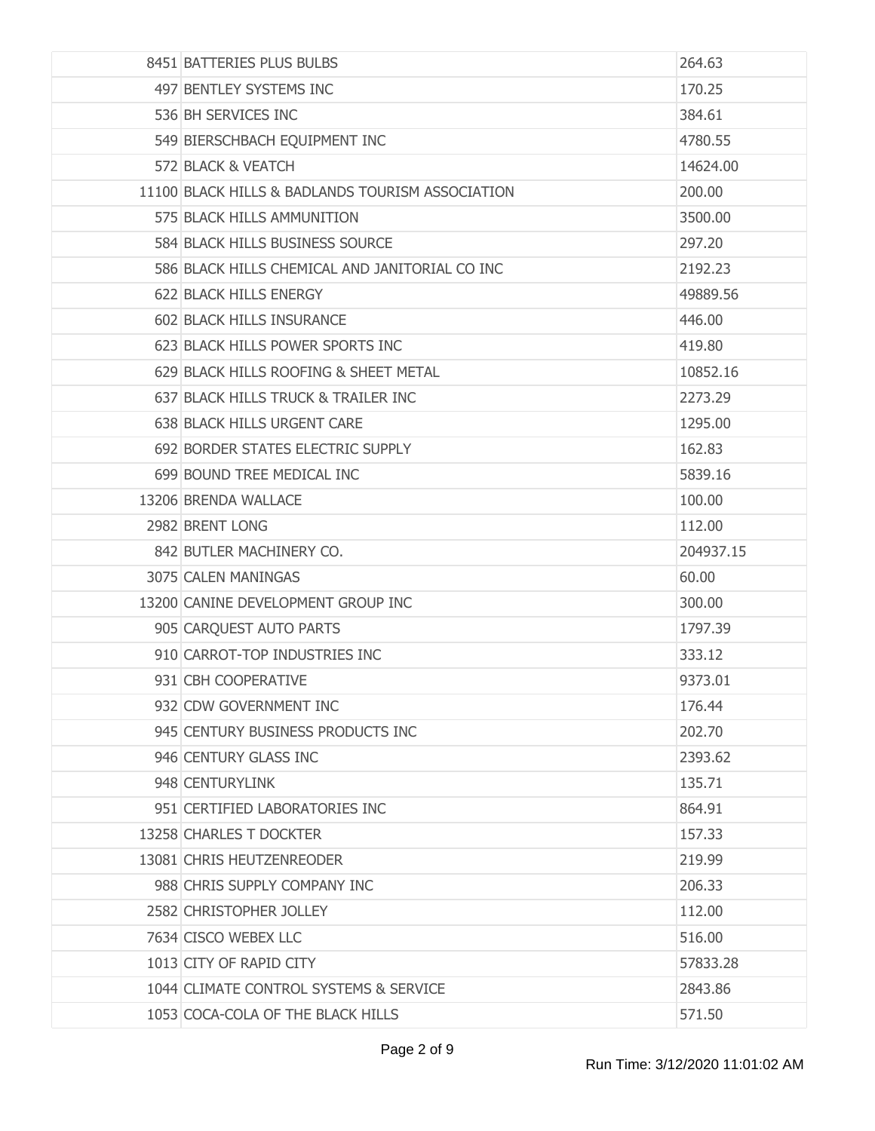| 8451 BATTERIES PLUS BULBS                        | 264.63    |
|--------------------------------------------------|-----------|
| 497 BENTLEY SYSTEMS INC                          | 170.25    |
| 536 BH SERVICES INC                              | 384.61    |
| 549 BIERSCHBACH EQUIPMENT INC                    | 4780.55   |
| 572 BLACK & VEATCH                               | 14624.00  |
| 11100 BLACK HILLS & BADLANDS TOURISM ASSOCIATION | 200.00    |
| 575 BLACK HILLS AMMUNITION                       | 3500.00   |
| 584 BLACK HILLS BUSINESS SOURCE                  | 297.20    |
| 586 BLACK HILLS CHEMICAL AND JANITORIAL CO INC   | 2192.23   |
| <b>622 BLACK HILLS ENERGY</b>                    | 49889.56  |
| 602 BLACK HILLS INSURANCE                        | 446.00    |
| 623 BLACK HILLS POWER SPORTS INC                 | 419.80    |
| 629 BLACK HILLS ROOFING & SHEET METAL            | 10852.16  |
| 637 BLACK HILLS TRUCK & TRAILER INC              | 2273.29   |
| 638 BLACK HILLS URGENT CARE                      | 1295,00   |
| 692 BORDER STATES ELECTRIC SUPPLY                | 162.83    |
| 699 BOUND TREE MEDICAL INC                       | 5839.16   |
| 13206 BRENDA WALLACE                             | 100.00    |
| 2982 BRENT LONG                                  | 112.00    |
| 842 BUTLER MACHINERY CO.                         | 204937.15 |
| 3075 CALEN MANINGAS                              | 60.00     |
| 13200 CANINE DEVELOPMENT GROUP INC               | 300.00    |
| 905 CARQUEST AUTO PARTS                          | 1797.39   |
| 910 CARROT-TOP INDUSTRIES INC                    | 333.12    |
| 931 CBH COOPERATIVE                              | 9373.01   |
| 932 CDW GOVERNMENT INC                           | 176.44    |
| 945 CENTURY BUSINESS PRODUCTS INC                | 202.70    |
| 946 CENTURY GLASS INC                            | 2393.62   |
| 948 CENTURYLINK                                  | 135.71    |
| 951 CERTIFIED LABORATORIES INC                   | 864.91    |
| 13258 CHARLES T DOCKTER                          | 157.33    |
| 13081 CHRIS HEUTZENREODER                        | 219.99    |
| 988 CHRIS SUPPLY COMPANY INC                     | 206.33    |
| 2582 CHRISTOPHER JOLLEY                          | 112.00    |
| 7634 CISCO WEBEX LLC                             | 516.00    |
| 1013 CITY OF RAPID CITY                          | 57833.28  |
| 1044 CLIMATE CONTROL SYSTEMS & SERVICE           | 2843.86   |
| 1053 COCA-COLA OF THE BLACK HILLS                | 571.50    |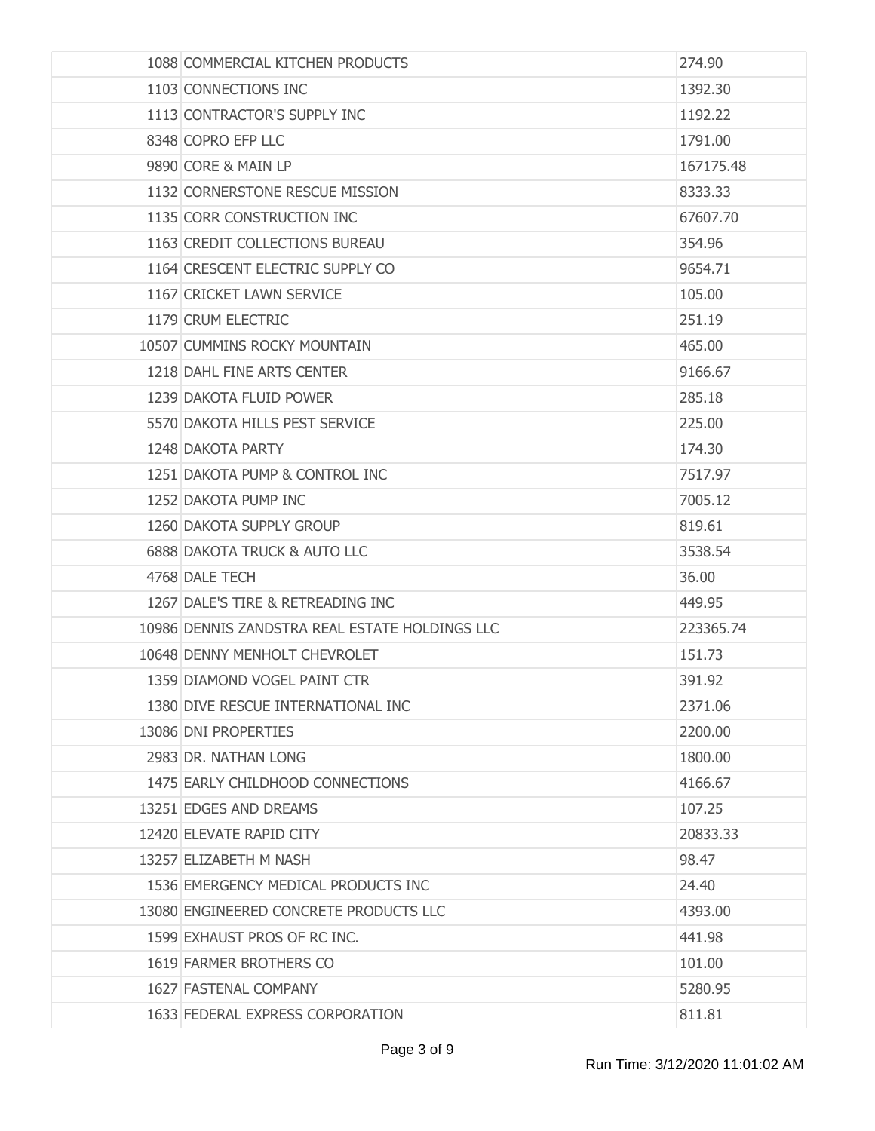| 1088 COMMERCIAL KITCHEN PRODUCTS               | 274.90    |
|------------------------------------------------|-----------|
| 1103 CONNECTIONS INC                           | 1392.30   |
| 1113 CONTRACTOR'S SUPPLY INC                   | 1192.22   |
| 8348 COPRO EFP LLC                             | 1791.00   |
| 9890 CORE & MAIN LP                            | 167175.48 |
| 1132 CORNERSTONE RESCUE MISSION                | 8333.33   |
| 1135 CORR CONSTRUCTION INC                     | 67607.70  |
| 1163 CREDIT COLLECTIONS BUREAU                 | 354.96    |
| 1164 CRESCENT ELECTRIC SUPPLY CO               | 9654.71   |
| 1167 CRICKET LAWN SERVICE                      | 105.00    |
| 1179 CRUM ELECTRIC                             | 251.19    |
| 10507 CUMMINS ROCKY MOUNTAIN                   | 465.00    |
| 1218 DAHL FINE ARTS CENTER                     | 9166.67   |
| 1239 DAKOTA FLUID POWER                        | 285.18    |
| 5570 DAKOTA HILLS PEST SERVICE                 | 225.00    |
| 1248 DAKOTA PARTY                              | 174.30    |
| 1251 DAKOTA PUMP & CONTROL INC                 | 7517.97   |
| 1252 DAKOTA PUMP INC                           | 7005.12   |
| 1260 DAKOTA SUPPLY GROUP                       | 819.61    |
| 6888 DAKOTA TRUCK & AUTO LLC                   | 3538.54   |
| 4768 DALE TECH                                 | 36.00     |
| 1267 DALE'S TIRE & RETREADING INC              | 449.95    |
| 10986 DENNIS ZANDSTRA REAL ESTATE HOLDINGS LLC | 223365.74 |
| 10648 DENNY MENHOLT CHEVROLET                  | 151.73    |
| 1359 DIAMOND VOGEL PAINT CTR                   | 391.92    |
| 1380 DIVE RESCUE INTERNATIONAL INC             | 2371.06   |
| 13086 DNI PROPERTIES                           | 2200.00   |
| 2983 DR. NATHAN LONG                           | 1800.00   |
| 1475 EARLY CHILDHOOD CONNECTIONS               | 4166.67   |
| 13251 EDGES AND DREAMS                         | 107.25    |
| 12420 ELEVATE RAPID CITY                       | 20833.33  |
| 13257 ELIZABETH M NASH                         | 98.47     |
| 1536 EMERGENCY MEDICAL PRODUCTS INC            | 24.40     |
| 13080 ENGINEERED CONCRETE PRODUCTS LLC         | 4393.00   |
| 1599 EXHAUST PROS OF RC INC.                   | 441.98    |
| 1619 FARMER BROTHERS CO                        | 101.00    |
| 1627 FASTENAL COMPANY                          | 5280.95   |
| 1633 FEDERAL EXPRESS CORPORATION               | 811.81    |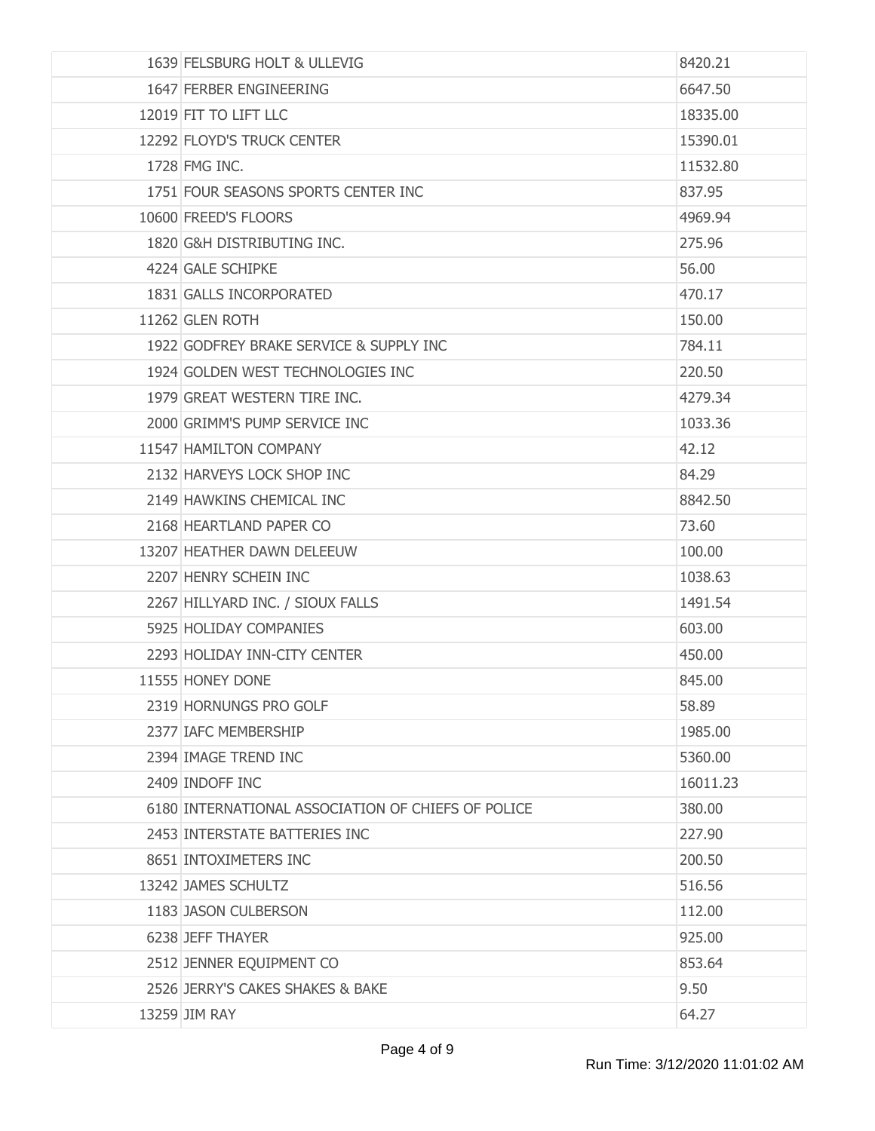| 1639 FELSBURG HOLT & ULLEVIG                       | 8420.21  |
|----------------------------------------------------|----------|
| 1647 FERBER ENGINEERING                            | 6647.50  |
| 12019 FIT TO LIFT LLC                              | 18335.00 |
| 12292 FLOYD'S TRUCK CENTER                         | 15390.01 |
| 1728 FMG INC.                                      | 11532.80 |
| 1751 FOUR SEASONS SPORTS CENTER INC                | 837.95   |
| 10600 FREED'S FLOORS                               | 4969.94  |
| 1820 G&H DISTRIBUTING INC.                         | 275.96   |
| 4224 GALE SCHIPKE                                  | 56.00    |
| 1831 GALLS INCORPORATED                            | 470.17   |
| 11262 GLEN ROTH                                    | 150.00   |
| 1922 GODFREY BRAKE SERVICE & SUPPLY INC            | 784.11   |
| 1924 GOLDEN WEST TECHNOLOGIES INC                  | 220.50   |
| 1979 GREAT WESTERN TIRE INC.                       | 4279.34  |
| 2000 GRIMM'S PUMP SERVICE INC                      | 1033.36  |
| 11547 HAMILTON COMPANY                             | 42.12    |
| 2132 HARVEYS LOCK SHOP INC                         | 84.29    |
| 2149 HAWKINS CHEMICAL INC                          | 8842.50  |
| 2168 HEARTLAND PAPER CO                            | 73.60    |
| 13207 HEATHER DAWN DELEEUW                         | 100.00   |
| 2207 HENRY SCHEIN INC                              | 1038.63  |
| 2267 HILLYARD INC. / SIOUX FALLS                   | 1491.54  |
| 5925 HOLIDAY COMPANIES                             | 603.00   |
| 2293 HOLIDAY INN-CITY CENTER                       | 450.00   |
| 11555 HONEY DONE                                   | 845.00   |
| 2319 HORNUNGS PRO GOLF                             | 58.89    |
| 2377 IAFC MEMBERSHIP                               | 1985.00  |
| 2394 IMAGE TREND INC                               | 5360.00  |
| 2409 INDOFF INC                                    | 16011.23 |
| 6180 INTERNATIONAL ASSOCIATION OF CHIEFS OF POLICE | 380.00   |
| 2453 INTERSTATE BATTERIES INC                      | 227.90   |
| 8651 INTOXIMETERS INC                              | 200.50   |
| 13242 JAMES SCHULTZ                                | 516.56   |
| 1183 JASON CULBERSON                               | 112.00   |
| 6238 JEFF THAYER                                   | 925.00   |
| 2512 JENNER EQUIPMENT CO                           | 853.64   |
| 2526 JERRY'S CAKES SHAKES & BAKE                   | 9.50     |
| 13259 JIM RAY                                      | 64.27    |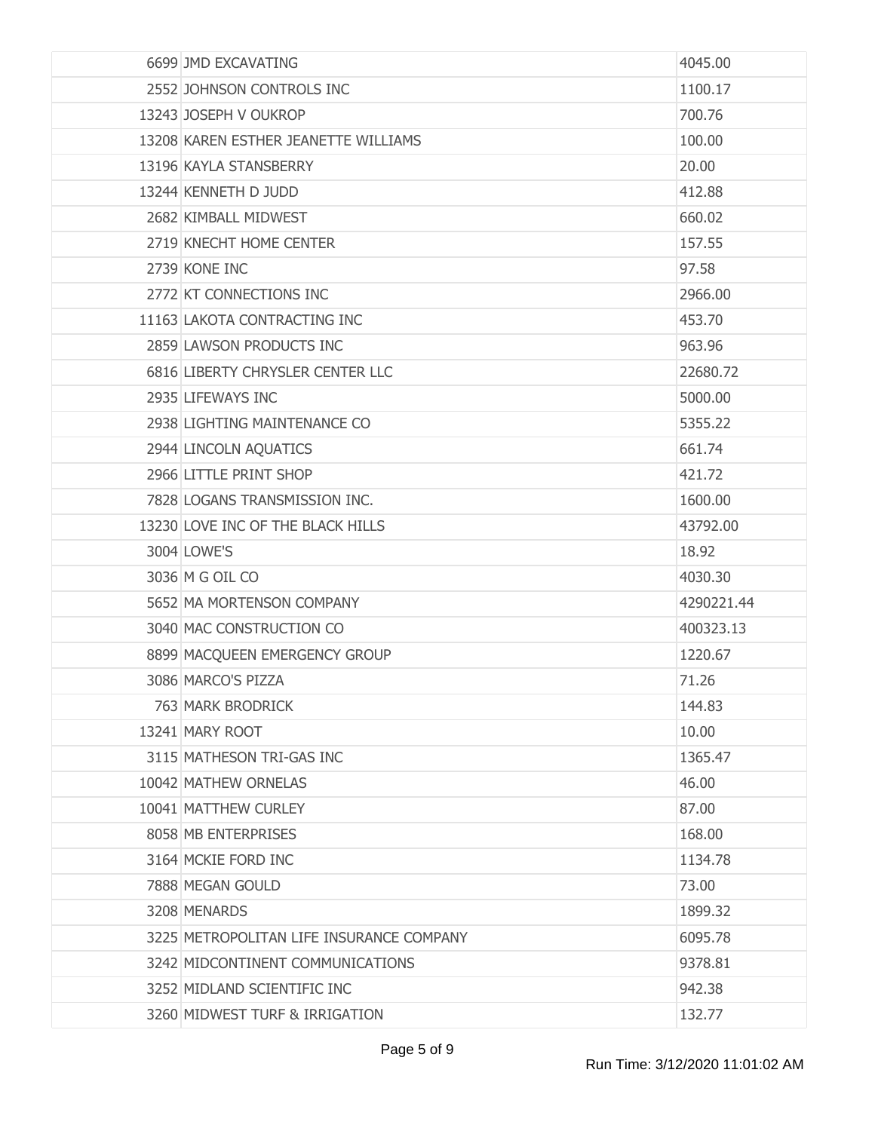| 6699 JMD EXCAVATING                      | 4045.00    |
|------------------------------------------|------------|
| 2552 JOHNSON CONTROLS INC                | 1100.17    |
| 13243 JOSEPH V OUKROP                    | 700.76     |
| 13208 KAREN ESTHER JEANETTE WILLIAMS     | 100.00     |
| 13196 KAYLA STANSBERRY                   | 20.00      |
| 13244 KENNETH D JUDD                     | 412.88     |
| 2682 KIMBALL MIDWEST                     | 660.02     |
| 2719 KNECHT HOME CENTER                  | 157.55     |
| 2739 KONE INC                            | 97.58      |
| 2772 KT CONNECTIONS INC                  | 2966.00    |
| 11163 LAKOTA CONTRACTING INC             | 453.70     |
| 2859 LAWSON PRODUCTS INC                 | 963.96     |
| 6816 LIBERTY CHRYSLER CENTER LLC         | 22680.72   |
| 2935 LIFEWAYS INC                        | 5000.00    |
| 2938 LIGHTING MAINTENANCE CO             | 5355.22    |
| 2944 LINCOLN AQUATICS                    | 661.74     |
| 2966 LITTLE PRINT SHOP                   | 421.72     |
| 7828 LOGANS TRANSMISSION INC.            | 1600.00    |
| 13230 LOVE INC OF THE BLACK HILLS        | 43792.00   |
| 3004 LOWE'S                              | 18.92      |
| 3036 M G OIL CO                          | 4030.30    |
| 5652 MA MORTENSON COMPANY                | 4290221.44 |
| 3040 MAC CONSTRUCTION CO                 | 400323.13  |
| 8899 MACQUEEN EMERGENCY GROUP            | 1220.67    |
| 3086 MARCO'S PIZZA                       | 71.26      |
| 763 MARK BRODRICK                        | 144.83     |
| 13241 MARY ROOT                          | 10.00      |
| 3115 MATHESON TRI-GAS INC                | 1365.47    |
| 10042 MATHEW ORNELAS                     | 46.00      |
| 10041 MATTHEW CURLEY                     | 87.00      |
| 8058 MB ENTERPRISES                      | 168.00     |
| 3164 MCKIE FORD INC                      | 1134.78    |
| 7888 MEGAN GOULD                         | 73.00      |
| 3208 MENARDS                             | 1899.32    |
| 3225 METROPOLITAN LIFE INSURANCE COMPANY | 6095.78    |
| 3242 MIDCONTINENT COMMUNICATIONS         | 9378.81    |
| 3252 MIDLAND SCIENTIFIC INC              | 942.38     |
| 3260 MIDWEST TURF & IRRIGATION           | 132.77     |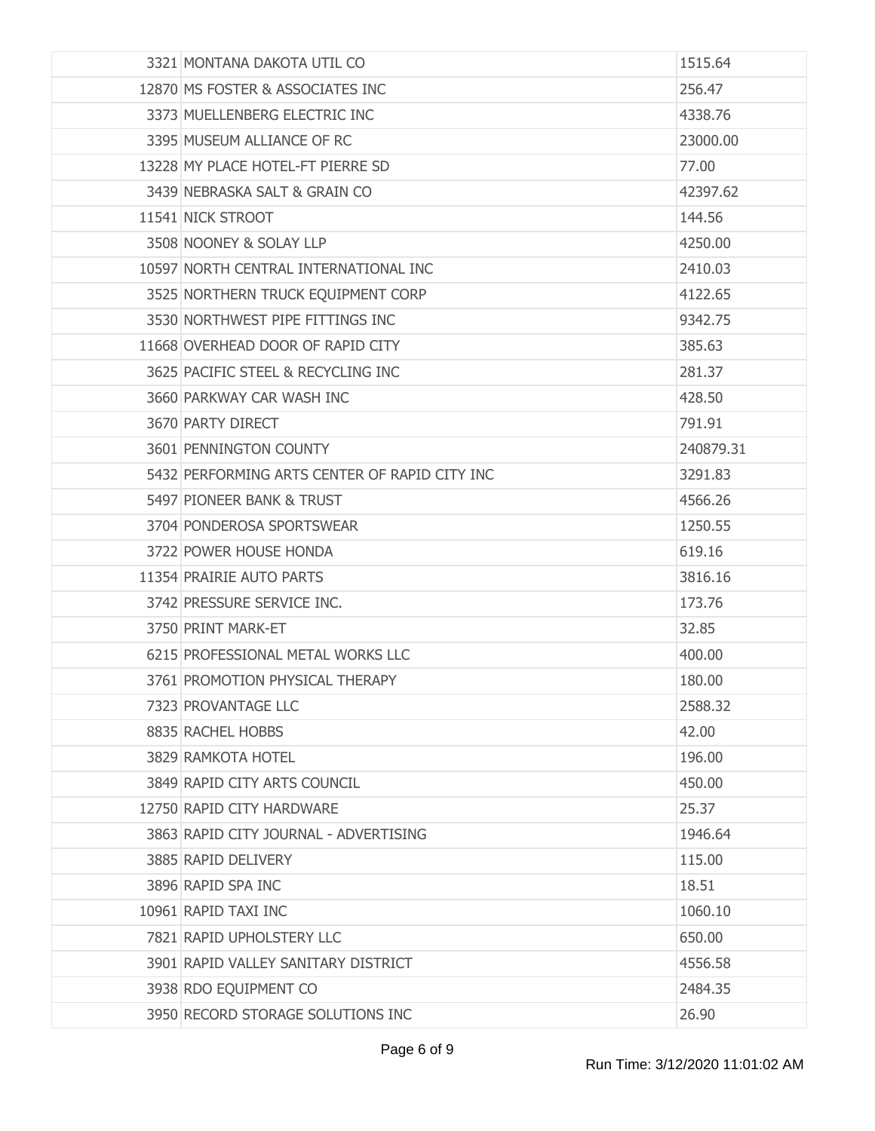| 3321 MONTANA DAKOTA UTIL CO                   | 1515.64   |
|-----------------------------------------------|-----------|
| 12870 MS FOSTER & ASSOCIATES INC              | 256.47    |
| 3373 MUELLENBERG ELECTRIC INC                 | 4338.76   |
| 3395 MUSEUM ALLIANCE OF RC                    | 23000.00  |
| 13228 MY PLACE HOTEL-FT PIERRE SD             | 77.00     |
| 3439 NEBRASKA SALT & GRAIN CO                 | 42397.62  |
| 11541 NICK STROOT                             | 144.56    |
| 3508 NOONEY & SOLAY LLP                       | 4250.00   |
| 10597 NORTH CENTRAL INTERNATIONAL INC         | 2410.03   |
| 3525 NORTHERN TRUCK EQUIPMENT CORP            | 4122.65   |
| 3530 NORTHWEST PIPE FITTINGS INC              | 9342.75   |
| 11668 OVERHEAD DOOR OF RAPID CITY             | 385.63    |
| 3625 PACIFIC STEEL & RECYCLING INC            | 281.37    |
| 3660 PARKWAY CAR WASH INC                     | 428.50    |
| 3670 PARTY DIRECT                             | 791.91    |
| 3601 PENNINGTON COUNTY                        | 240879.31 |
| 5432 PERFORMING ARTS CENTER OF RAPID CITY INC | 3291.83   |
| 5497 PIONEER BANK & TRUST                     | 4566.26   |
| 3704 PONDEROSA SPORTSWEAR                     | 1250.55   |
| 3722 POWER HOUSE HONDA                        | 619.16    |
| 11354 PRAIRIE AUTO PARTS                      | 3816.16   |
| 3742 PRESSURE SERVICE INC.                    | 173.76    |
| 3750 PRINT MARK-ET                            | 32.85     |
| 6215 PROFESSIONAL METAL WORKS LLC             | 400.00    |
| 3761 PROMOTION PHYSICAL THERAPY               | 180.00    |
| 7323 PROVANTAGE LLC                           | 2588.32   |
| 8835 RACHEL HOBBS                             | 42.00     |
| 3829 RAMKOTA HOTEL                            | 196.00    |
| 3849 RAPID CITY ARTS COUNCIL                  | 450.00    |
| 12750 RAPID CITY HARDWARE                     | 25.37     |
| 3863 RAPID CITY JOURNAL - ADVERTISING         | 1946.64   |
| 3885 RAPID DELIVERY                           | 115.00    |
| 3896 RAPID SPA INC                            | 18.51     |
| 10961 RAPID TAXI INC                          | 1060.10   |
| 7821 RAPID UPHOLSTERY LLC                     | 650.00    |
| 3901 RAPID VALLEY SANITARY DISTRICT           | 4556.58   |
| 3938 RDO EQUIPMENT CO                         | 2484.35   |
| 3950 RECORD STORAGE SOLUTIONS INC             | 26.90     |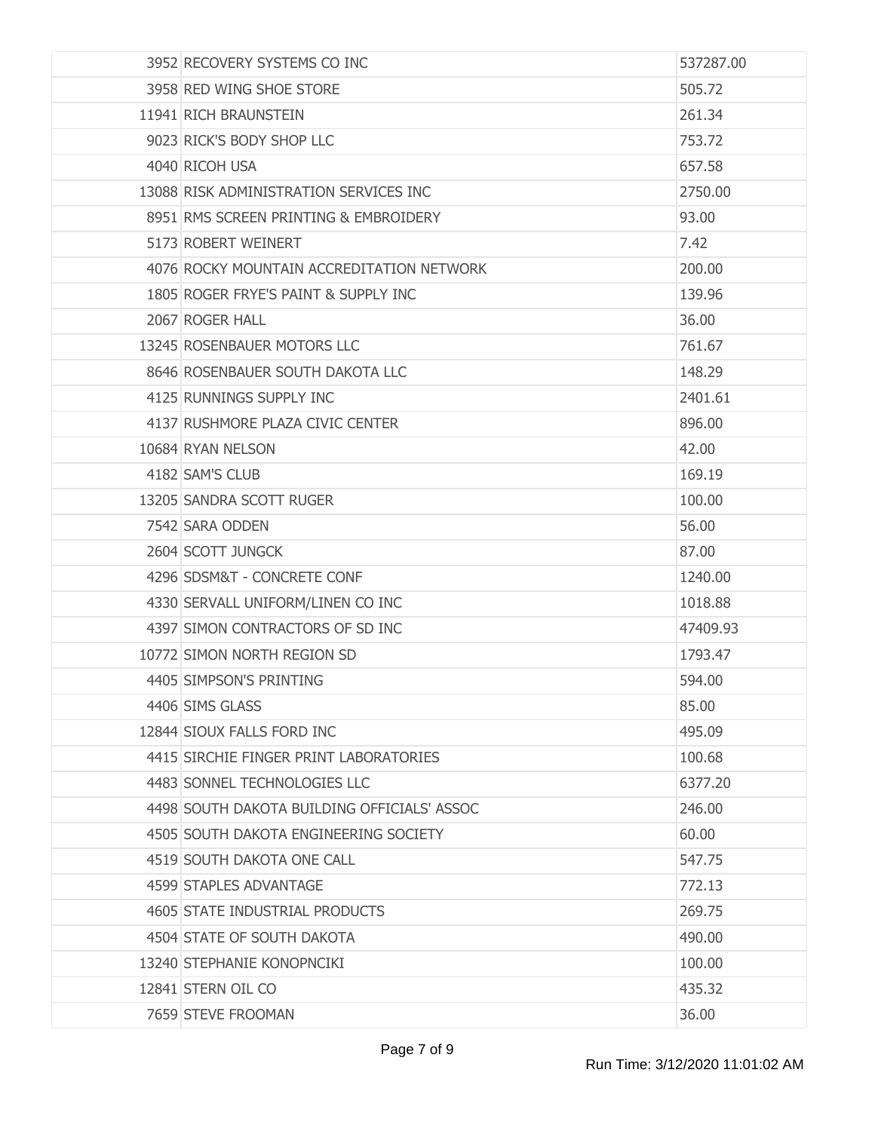| 3952 RECOVERY SYSTEMS CO INC                | 537287.00 |
|---------------------------------------------|-----------|
| 3958 RED WING SHOE STORE                    | 505.72    |
| 11941 RICH BRAUNSTEIN                       | 261.34    |
| 9023 RICK'S BODY SHOP LLC                   | 753.72    |
| 4040 RICOH USA                              | 657.58    |
| 13088 RISK ADMINISTRATION SERVICES INC      | 2750.00   |
| 8951 RMS SCREEN PRINTING & EMBROIDERY       | 93.00     |
| 5173 ROBERT WEINERT                         | 7.42      |
| 4076 ROCKY MOUNTAIN ACCREDITATION NETWORK   | 200.00    |
| 1805 ROGER FRYE'S PAINT & SUPPLY INC        | 139.96    |
| 2067 ROGER HALL                             | 36.00     |
| 13245 ROSENBAUER MOTORS LLC                 | 761.67    |
| 8646 ROSENBAUER SOUTH DAKOTA LLC            | 148.29    |
| 4125 RUNNINGS SUPPLY INC                    | 2401.61   |
| 4137 RUSHMORE PLAZA CIVIC CENTER            | 896.00    |
| 10684 RYAN NELSON                           | 42.00     |
| 4182 SAM'S CLUB                             | 169.19    |
| 13205 SANDRA SCOTT RUGER                    | 100.00    |
| 7542 SARA ODDEN                             | 56.00     |
| 2604 SCOTT JUNGCK                           | 87.00     |
| 4296 SDSM&T - CONCRETE CONF                 | 1240.00   |
| 4330 SERVALL UNIFORM/LINEN CO INC           | 1018.88   |
| 4397 SIMON CONTRACTORS OF SD INC            | 47409.93  |
| 10772 SIMON NORTH REGION SD                 | 1793.47   |
| 4405 SIMPSON'S PRINTING                     | 594.00    |
| 4406 SIMS GLASS                             | 85.00     |
| 12844 SIOUX FALLS FORD INC                  | 495.09    |
| 4415 SIRCHIE FINGER PRINT LABORATORIES      | 100.68    |
| 4483 SONNEL TECHNOLOGIES LLC                | 6377.20   |
| 4498 SOUTH DAKOTA BUILDING OFFICIALS' ASSOC | 246.00    |
| 4505 SOUTH DAKOTA ENGINEERING SOCIETY       | 60.00     |
| 4519 SOUTH DAKOTA ONE CALL                  | 547.75    |
| 4599 STAPLES ADVANTAGE                      | 772.13    |
| 4605 STATE INDUSTRIAL PRODUCTS              | 269.75    |
| 4504 STATE OF SOUTH DAKOTA                  | 490.00    |
| 13240 STEPHANIE KONOPNCIKI                  | 100.00    |
| 12841 STERN OIL CO                          | 435.32    |
| 7659 STEVE FROOMAN                          | 36.00     |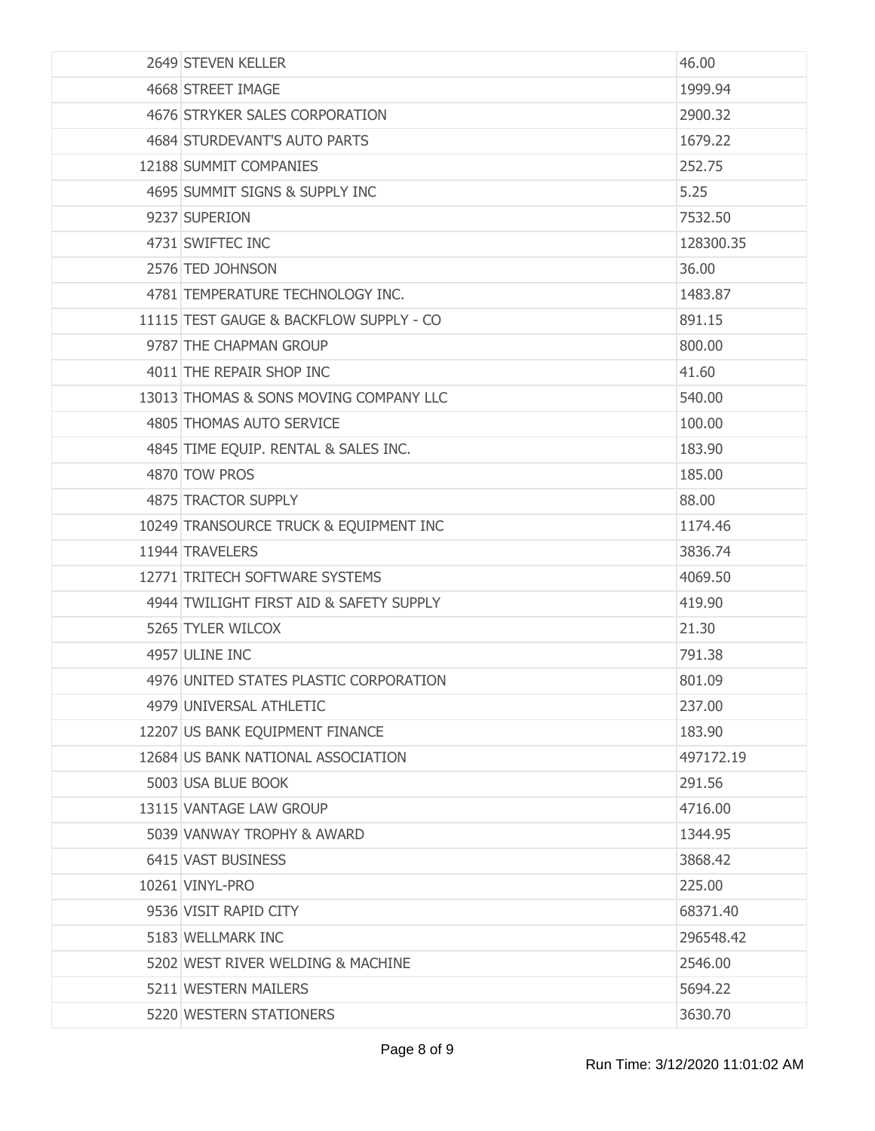| 2649 STEVEN KELLER                      | 46.00     |
|-----------------------------------------|-----------|
| 4668 STREET IMAGE                       | 1999.94   |
| 4676 STRYKER SALES CORPORATION          | 2900.32   |
| 4684 STURDEVANT'S AUTO PARTS            | 1679.22   |
| 12188 SUMMIT COMPANIES                  | 252.75    |
| 4695 SUMMIT SIGNS & SUPPLY INC          | 5.25      |
| 9237 SUPERION                           | 7532.50   |
| 4731 SWIFTEC INC                        | 128300.35 |
| 2576 TED JOHNSON                        | 36.00     |
| 4781 TEMPERATURE TECHNOLOGY INC.        | 1483.87   |
| 11115 TEST GAUGE & BACKFLOW SUPPLY - CO | 891.15    |
| 9787 THE CHAPMAN GROUP                  | 800.00    |
| 4011 THE REPAIR SHOP INC                | 41.60     |
| 13013 THOMAS & SONS MOVING COMPANY LLC  | 540.00    |
| 4805 THOMAS AUTO SERVICE                | 100.00    |
| 4845 TIME EQUIP. RENTAL & SALES INC.    | 183.90    |
| 4870 TOW PROS                           | 185.00    |
| 4875 TRACTOR SUPPLY                     | 88.00     |
| 10249 TRANSOURCE TRUCK & EQUIPMENT INC  | 1174.46   |
| 11944 TRAVELERS                         | 3836.74   |
| 12771 TRITECH SOFTWARE SYSTEMS          | 4069.50   |
| 4944 TWILIGHT FIRST AID & SAFETY SUPPLY | 419.90    |
| 5265 TYLER WILCOX                       | 21.30     |
| 4957 ULINE INC                          | 791.38    |
| 4976 UNITED STATES PLASTIC CORPORATION  | 801.09    |
| 4979 UNIVERSAL ATHLETIC                 | 237.00    |
| 12207 US BANK EQUIPMENT FINANCE         | 183.90    |
| 12684 US BANK NATIONAL ASSOCIATION      | 497172.19 |
| 5003 USA BLUE BOOK                      | 291.56    |
| 13115 VANTAGE LAW GROUP                 | 4716.00   |
| 5039 VANWAY TROPHY & AWARD              | 1344.95   |
| 6415 VAST BUSINESS                      | 3868.42   |
| 10261 VINYL-PRO                         | 225.00    |
| 9536 VISIT RAPID CITY                   | 68371.40  |
| 5183 WELLMARK INC                       | 296548.42 |
| 5202 WEST RIVER WELDING & MACHINE       | 2546.00   |
| 5211 WESTERN MAILERS                    | 5694.22   |
| 5220 WESTERN STATIONERS                 | 3630.70   |